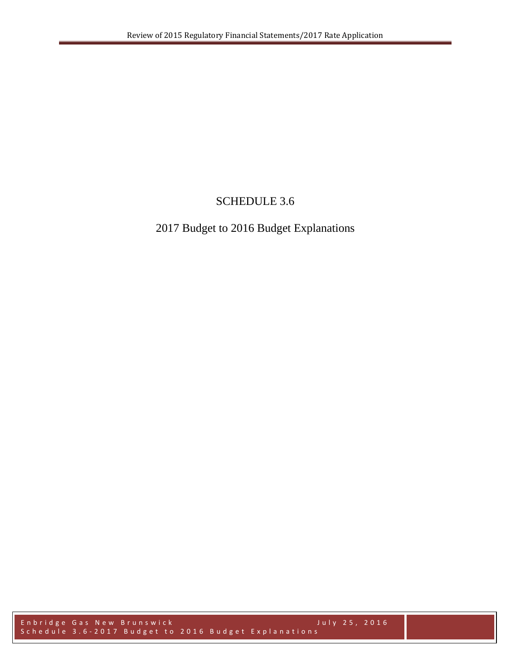# SCHEDULE 3.6

# 2017 Budget to 2016 Budget Explanations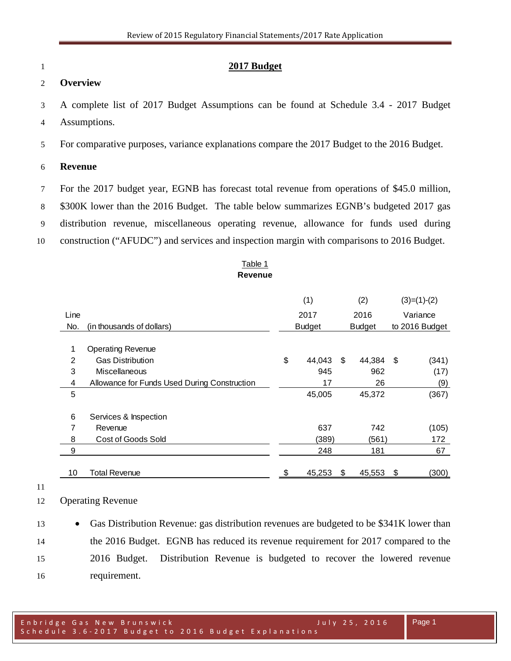### **2017 Budget**

### **Overview**

 A complete list of 2017 Budget Assumptions can be found at Schedule 3.4 - 2017 Budget Assumptions.

For comparative purposes, variance explanations compare the 2017 Budget to the 2016 Budget.

### **Revenue**

- For the 2017 budget year, EGNB has forecast total revenue from operations of \$45.0 million,
- \$300K lower than the 2016 Budget. The table below summarizes EGNB's budgeted 2017 gas
- distribution revenue, miscellaneous operating revenue, allowance for funds used during
- construction ("AFUDC") and services and inspection margin with comparisons to 2016 Budget.

### Table 1 **Revenue**

|                |                                              | (1)           | (2)             | $(3)=(1)-(2)$  |
|----------------|----------------------------------------------|---------------|-----------------|----------------|
| Line           |                                              | 2017          | 2016            | Variance       |
| No.            | (in thousands of dollars)                    | <b>Budget</b> | <b>Budget</b>   | to 2016 Budget |
|                |                                              |               |                 |                |
| 1              | <b>Operating Revenue</b>                     |               |                 |                |
| $\mathfrak{p}$ | <b>Gas Distribution</b>                      | \$<br>44,043  | \$<br>44,384 \$ | (341)          |
| 3              | Miscellaneous                                | 945           | 962             | (17)           |
| 4              | Allowance for Funds Used During Construction | 17            | 26              | (9)            |
| 5              |                                              | 45,005        | 45,372          | (367)          |
|                |                                              |               |                 |                |
| 6              | Services & Inspection                        |               |                 |                |
| 7              | Revenue                                      | 637           | 742             | (105)          |
| 8              | Cost of Goods Sold                           | (389)         | (561)           | 172            |
| 9              |                                              | 248           | 181             | 67             |
| 10             | Total Revenue                                | \$<br>45,253  | \$<br>45,553    | \$<br>(300)    |

#### 

Operating Revenue

 • Gas Distribution Revenue: gas distribution revenues are budgeted to be \$341K lower than the 2016 Budget. EGNB has reduced its revenue requirement for 2017 compared to the 2016 Budget. Distribution Revenue is budgeted to recover the lowered revenue requirement.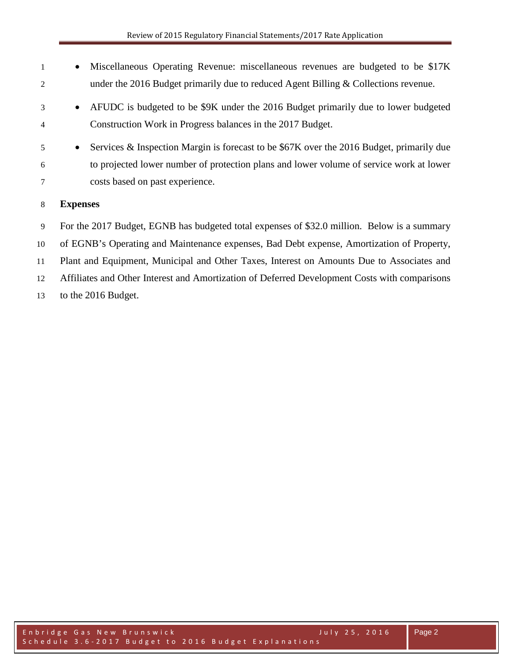| $\mathbf{1}$   | Miscellaneous Operating Revenue: miscellaneous revenues are budgeted to be \$17K<br>$\bullet$         |
|----------------|-------------------------------------------------------------------------------------------------------|
| 2              | under the 2016 Budget primarily due to reduced Agent Billing $&$ Collections revenue.                 |
| 3              | AFUDC is budgeted to be \$9K under the 2016 Budget primarily due to lower budgeted<br>$\bullet$       |
| $\overline{4}$ | Construction Work in Progress balances in the 2017 Budget.                                            |
| 5              | Services & Inspection Margin is forecast to be \$67K over the 2016 Budget, primarily due<br>$\bullet$ |
| 6              | to projected lower number of protection plans and lower volume of service work at lower               |
| 7              | costs based on past experience.                                                                       |
| 8              | <b>Expenses</b>                                                                                       |
| 9              | For the 2017 Budget, EGNB has budgeted total expenses of \$32.0 million. Below is a summary           |

 of EGNB's Operating and Maintenance expenses, Bad Debt expense, Amortization of Property, Plant and Equipment, Municipal and Other Taxes, Interest on Amounts Due to Associates and Affiliates and Other Interest and Amortization of Deferred Development Costs with comparisons to the 2016 Budget.

Enbridge Gas New Brunswick July 25, 2016 Schedule 3.6 - 2017 Budget to 2016 Budget Explanations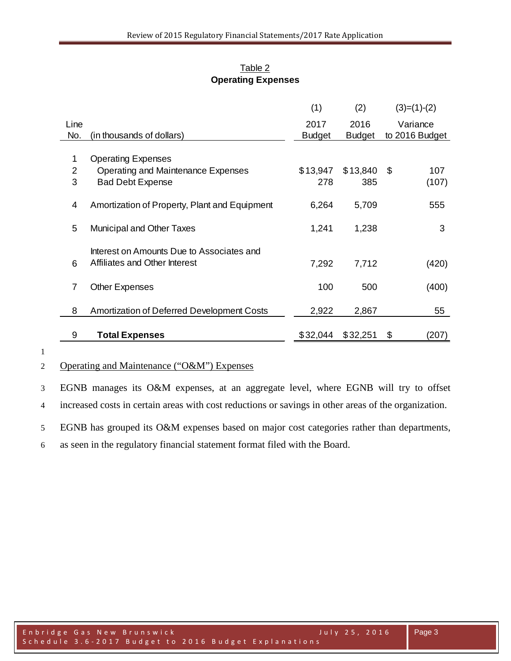|        |                                                                            | (1)           | (2)           | $(3)=(1)-(2)$  |
|--------|----------------------------------------------------------------------------|---------------|---------------|----------------|
| Line   |                                                                            | 2017          | 2016          | Variance       |
| No.    | (in thousands of dollars)                                                  | <b>Budget</b> | <b>Budget</b> | to 2016 Budget |
| 1<br>2 | <b>Operating Expenses</b><br>Operating and Maintenance Expenses            | \$13,947      | \$13,840      | - \$<br>107    |
| 3      | <b>Bad Debt Expense</b>                                                    | 278           | 385           | (107)          |
|        |                                                                            |               |               |                |
| 4      | Amortization of Property, Plant and Equipment                              | 6,264         | 5,709         | 555            |
| 5      | <b>Municipal and Other Taxes</b>                                           | 1,241         | 1,238         | 3              |
| 6      | Interest on Amounts Due to Associates and<br>Affiliates and Other Interest | 7,292         | 7,712         | (420)          |
| 7      | <b>Other Expenses</b>                                                      | 100           | 500           | (400)          |
| 8      | <b>Amortization of Deferred Development Costs</b>                          | 2,922         | 2,867         | 55             |
| 9      | <b>Total Expenses</b>                                                      | \$32,044      | \$32,251      | \$<br>(207)    |

## Table 2 **Operating Expenses**

1

## 2 Operating and Maintenance ("O&M") Expenses

3 EGNB manages its O&M expenses, at an aggregate level, where EGNB will try to offset 4 increased costs in certain areas with cost reductions or savings in other areas of the organization.

5 EGNB has grouped its O&M expenses based on major cost categories rather than departments,

6 as seen in the regulatory financial statement format filed with the Board.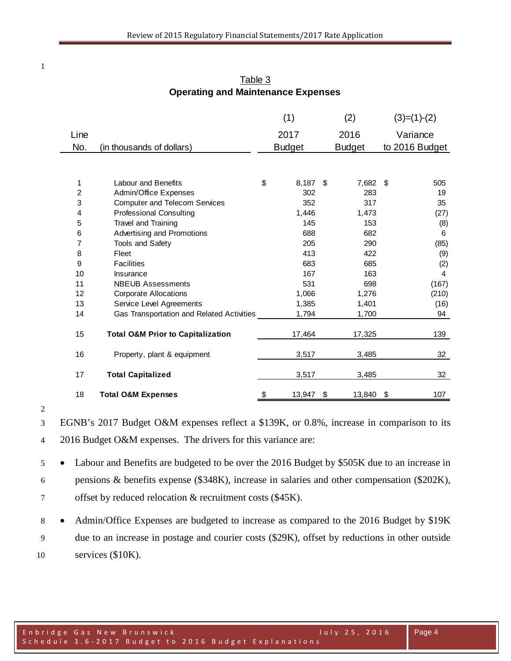|      |                                              | (1)              | (2) |               |    | $(3)=(1)-(2)$  |
|------|----------------------------------------------|------------------|-----|---------------|----|----------------|
| Line |                                              | 2017             |     | 2016          |    | Variance       |
| No.  | (in thousands of dollars)                    | <b>Budget</b>    |     | <b>Budget</b> |    | to 2016 Budget |
|      |                                              |                  |     |               |    |                |
|      |                                              |                  |     |               |    |                |
| 1    | Labour and Benefits                          | \$<br>$8,187$ \$ |     | 7,682 \$      |    | 505            |
| 2    | Admin/Office Expenses                        | 302              |     | 283           |    | 19             |
| 3    | <b>Computer and Telecom Services</b>         | 352              |     | 317           |    | 35             |
| 4    | <b>Professional Consulting</b>               | 1,446            |     | 1,473         |    | (27)           |
| 5    | Travel and Training                          | 145              |     | 153           |    | (8)            |
| 6    | Advertising and Promotions                   | 688              |     | 682           |    | 6              |
| 7    | <b>Tools and Safety</b>                      | 205              |     | 290           |    | (85)           |
| 8    | Fleet                                        | 413              |     | 422           |    | (9)            |
| 9    | <b>Facilities</b>                            | 683              |     | 685           |    | (2)            |
| 10   | Insurance                                    | 167              |     | 163           |    | 4              |
| 11   | <b>NBEUB Assessments</b>                     | 531              |     | 698           |    | (167)          |
| 12   | <b>Corporate Allocations</b>                 | 1,066            |     | 1,276         |    | (210)          |
| 13   | Service Level Agreements                     | 1,385            |     | 1,401         |    | (16)           |
| 14   | Gas Transportation and Related Activities    | 1,794            |     | 1,700         |    | 94             |
| 15   | <b>Total O&amp;M Prior to Capitalization</b> | 17,464           |     | 17,325        |    | 139            |
| 16   | Property, plant & equipment                  | 3,517            |     | 3,485         |    | 32             |
| 17   | <b>Total Capitalized</b>                     | 3,517            |     | 3,485         |    | 32             |
| 18   | <b>Total O&amp;M Expenses</b>                | \$<br>13,947     | \$  | 13,840        | \$ | 107            |

Table 3 **Operating and Maintenance Expenses**

 EGNB's 2017 Budget O&M expenses reflect a \$139K, or 0.8%, increase in comparison to its 2016 Budget O&M expenses. The drivers for this variance are:

 • Labour and Benefits are budgeted to be over the 2016 Budget by \$505K due to an increase in pensions & benefits expense (\$348K), increase in salaries and other compensation (\$202K), offset by reduced relocation & recruitment costs (\$45K).

8 • Admin/Office Expenses are budgeted to increase as compared to the 2016 Budget by \$19K due to an increase in postage and courier costs (\$29K), offset by reductions in other outside services (\$10K).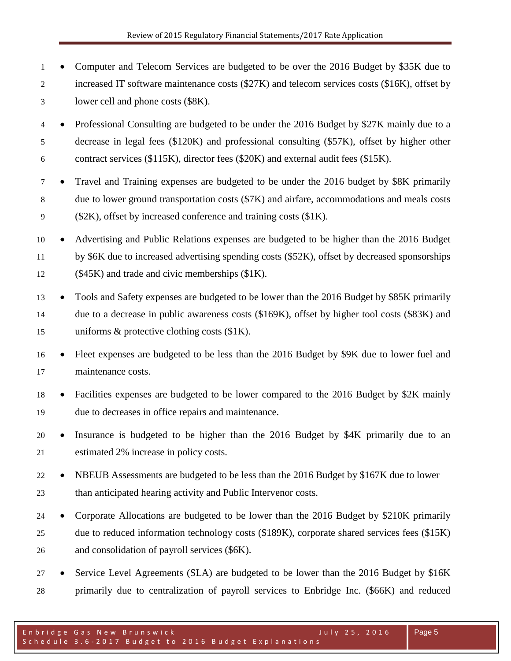- Computer and Telecom Services are budgeted to be over the 2016 Budget by \$35K due to increased IT software maintenance costs (\$27K) and telecom services costs (\$16K), offset by lower cell and phone costs (\$8K).
- Professional Consulting are budgeted to be under the 2016 Budget by \$27K mainly due to a decrease in legal fees (\$120K) and professional consulting (\$57K), offset by higher other contract services (\$115K), director fees (\$20K) and external audit fees (\$15K).
- Travel and Training expenses are budgeted to be under the 2016 budget by \$8K primarily due to lower ground transportation costs (\$7K) and airfare, accommodations and meals costs (\$2K), offset by increased conference and training costs (\$1K).
- Advertising and Public Relations expenses are budgeted to be higher than the 2016 Budget by \$6K due to increased advertising spending costs (\$52K), offset by decreased sponsorships (\$45K) and trade and civic memberships (\$1K).
- Tools and Safety expenses are budgeted to be lower than the 2016 Budget by \$85K primarily due to a decrease in public awareness costs (\$169K), offset by higher tool costs (\$83K) and uniforms & protective clothing costs (\$1K).
- Fleet expenses are budgeted to be less than the 2016 Budget by \$9K due to lower fuel and maintenance costs.
- Facilities expenses are budgeted to be lower compared to the 2016 Budget by \$2K mainly due to decreases in office repairs and maintenance.
- Insurance is budgeted to be higher than the 2016 Budget by \$4K primarily due to an estimated 2% increase in policy costs.
- <sup>22</sup> NBEUB Assessments are budgeted to be less than the 2016 Budget by \$167K due to lower than anticipated hearing activity and Public Intervenor costs.
- Corporate Allocations are budgeted to be lower than the 2016 Budget by \$210K primarily due to reduced information technology costs (\$189K), corporate shared services fees (\$15K) and consolidation of payroll services (\$6K).
- Service Level Agreements (SLA) are budgeted to be lower than the 2016 Budget by \$16K primarily due to centralization of payroll services to Enbridge Inc. (\$66K) and reduced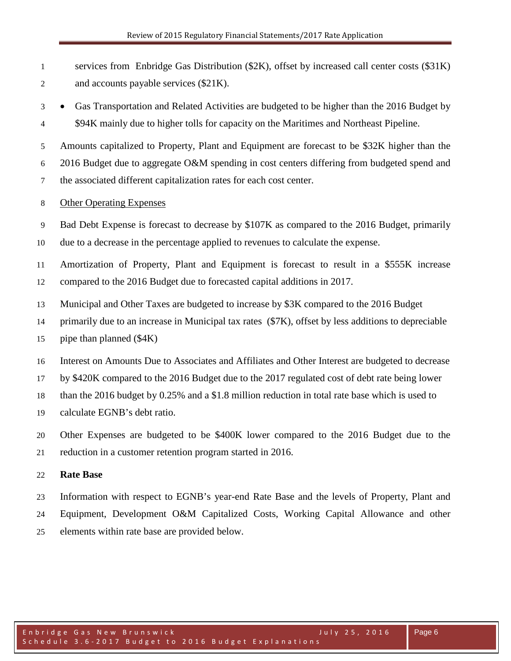services from Enbridge Gas Distribution (\$2K), offset by increased call center costs (\$31K) and accounts payable services (\$21K).

 • Gas Transportation and Related Activities are budgeted to be higher than the 2016 Budget by 4 \$94K mainly due to higher tolls for capacity on the Maritimes and Northeast Pipeline.

Amounts capitalized to Property, Plant and Equipment are forecast to be \$32K higher than the

2016 Budget due to aggregate O&M spending in cost centers differing from budgeted spend and

the associated different capitalization rates for each cost center.

## Other Operating Expenses

Bad Debt Expense is forecast to decrease by \$107K as compared to the 2016 Budget, primarily

due to a decrease in the percentage applied to revenues to calculate the expense.

 Amortization of Property, Plant and Equipment is forecast to result in a \$555K increase compared to the 2016 Budget due to forecasted capital additions in 2017.

- Municipal and Other Taxes are budgeted to increase by \$3K compared to the 2016 Budget
- primarily due to an increase in Municipal tax rates (\$7K), offset by less additions to depreciable
- pipe than planned (\$4K)
- Interest on Amounts Due to Associates and Affiliates and Other Interest are budgeted to decrease

by \$420K compared to the 2016 Budget due to the 2017 regulated cost of debt rate being lower

- than the 2016 budget by 0.25% and a \$1.8 million reduction in total rate base which is used to
- calculate EGNB's debt ratio.
- Other Expenses are budgeted to be \$400K lower compared to the 2016 Budget due to the reduction in a customer retention program started in 2016.

## **Rate Base**

 Information with respect to EGNB's year-end Rate Base and the levels of Property, Plant and Equipment, Development O&M Capitalized Costs, Working Capital Allowance and other

elements within rate base are provided below.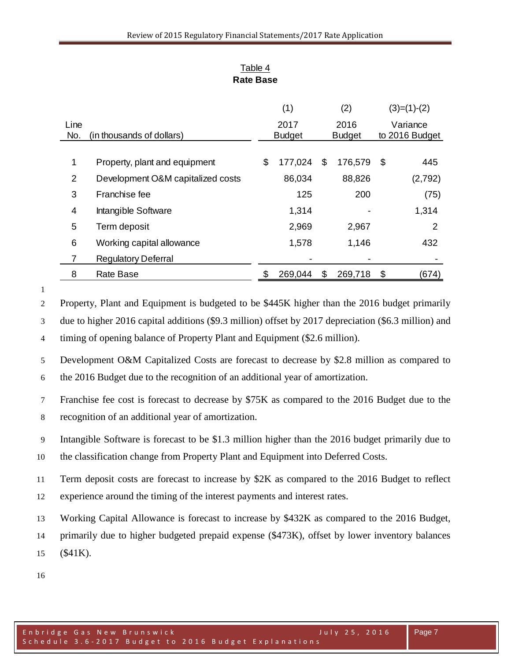|      |                                   | (1)           | (2) |               |    | $(3)=(1)-(2)$  |
|------|-----------------------------------|---------------|-----|---------------|----|----------------|
| Line |                                   | 2017          |     | 2016          |    | Variance       |
| No.  | (in thousands of dollars)         | <b>Budget</b> |     | <b>Budget</b> |    | to 2016 Budget |
|      |                                   |               |     |               |    |                |
| 1    | Property, plant and equipment     | \$<br>177,024 | \$  | 176,579       | \$ | 445            |
| 2    | Development O&M capitalized costs | 86,034        |     | 88,826        |    | (2,792)        |
| 3    | Franchise fee                     | 125           |     | 200           |    | (75)           |
| 4    | Intangible Software               | 1,314         |     |               |    | 1,314          |
| 5    | Term deposit                      | 2,969         |     | 2,967         |    | 2              |
| 6    | Working capital allowance         | 1,578         |     | 1,146         |    | 432            |
| 7    | <b>Regulatory Deferral</b>        |               |     |               |    |                |
| 8    | <b>Rate Base</b>                  | 269,044       | S   | 269,718       | \$ | (674)          |

## Table 4 **Rate Base**

 Property, Plant and Equipment is budgeted to be \$445K higher than the 2016 budget primarily due to higher 2016 capital additions (\$9.3 million) offset by 2017 depreciation (\$6.3 million) and timing of opening balance of Property Plant and Equipment (\$2.6 million).

 Development O&M Capitalized Costs are forecast to decrease by \$2.8 million as compared to the 2016 Budget due to the recognition of an additional year of amortization.

 Franchise fee cost is forecast to decrease by \$75K as compared to the 2016 Budget due to the recognition of an additional year of amortization.

Intangible Software is forecast to be \$1.3 million higher than the 2016 budget primarily due to

the classification change from Property Plant and Equipment into Deferred Costs.

Term deposit costs are forecast to increase by \$2K as compared to the 2016 Budget to reflect

experience around the timing of the interest payments and interest rates.

Working Capital Allowance is forecast to increase by \$432K as compared to the 2016 Budget,

 primarily due to higher budgeted prepaid expense (\$473K), offset by lower inventory balances (\$41K).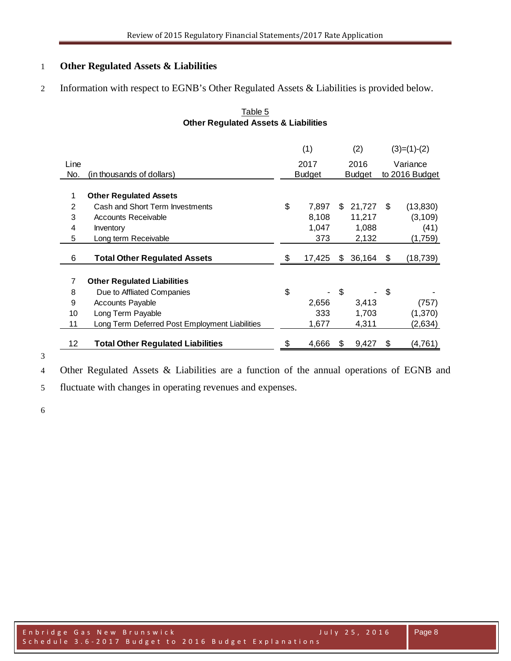## **Other Regulated Assets & Liabilities**

Information with respect to EGNB's Other Regulated Assets & Liabilities is provided below.

|      |                                                | (1)           |    | (2)           | $(3)=(1)-(2)$   |
|------|------------------------------------------------|---------------|----|---------------|-----------------|
| Line |                                                | 2017          |    | 2016          | Variance        |
| No.  | (in thousands of dollars)                      | <b>Budget</b> |    | <b>Budget</b> | to 2016 Budget  |
|      |                                                |               |    |               |                 |
| 1    | <b>Other Regulated Assets</b>                  |               |    |               |                 |
| 2    | Cash and Short Term Investments                | \$<br>7.897   | \$ | 21,727        | \$<br>(13, 830) |
| 3    | <b>Accounts Receivable</b>                     | 8,108         |    | 11,217        | (3, 109)        |
| 4    | <b>Inventory</b>                               | 1,047         |    | 1,088         | (41)            |
| 5    | Long term Receivable                           | 373           |    | 2,132         | (1,759)         |
| 6    | <b>Total Other Regulated Assets</b>            | \$<br>17,425  | S  | 36,164        | \$<br>(18, 739) |
|      |                                                |               |    |               |                 |
| 7    | <b>Other Regulated Liabilities</b>             |               |    |               |                 |
| 8    | Due to Affliated Companies                     | \$            | \$ |               | \$              |
| 9    | <b>Accounts Payable</b>                        | 2,656         |    | 3,413         | (757)           |
| 10   | Long Term Payable                              | 333           |    | 1,703         | (1,370)         |
| 11   | Long Term Deferred Post Employment Liabilities | 1,677         |    | 4,311         | (2,634)         |
| 12   | <b>Total Other Regulated Liabilities</b>       | \$<br>4,666   | £. | 9,427         | \$<br>(4, 761)  |

## Table 5 **Other Regulated Assets & Liabilities**

Other Regulated Assets & Liabilities are a function of the annual operations of EGNB and

fluctuate with changes in operating revenues and expenses.